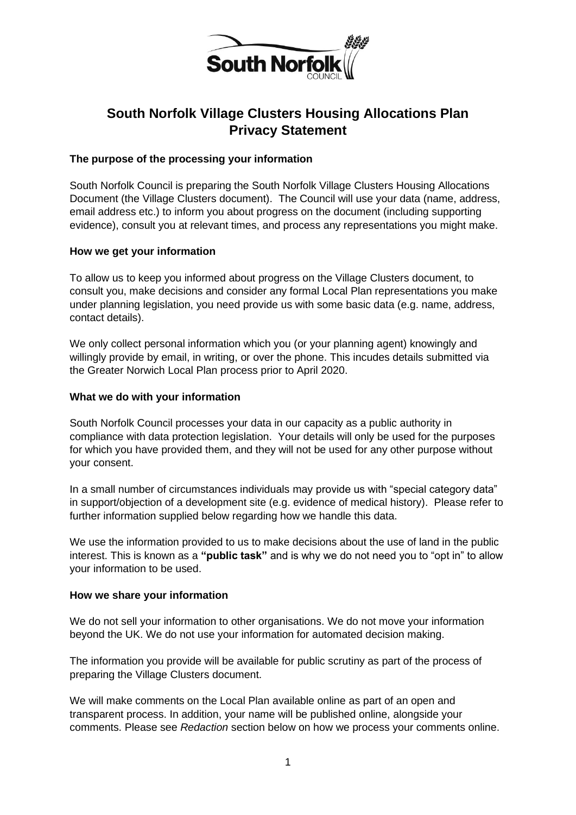

# **South Norfolk Village Clusters Housing Allocations Plan Privacy Statement**

#### **The purpose of the processing your information**

South Norfolk Council is preparing the South Norfolk Village Clusters Housing Allocations Document (the Village Clusters document). The Council will use your data (name, address, email address etc.) to inform you about progress on the document (including supporting evidence), consult you at relevant times, and process any representations you might make.

#### **How we get your information**

To allow us to keep you informed about progress on the Village Clusters document, to consult you, make decisions and consider any formal Local Plan representations you make under planning legislation, you need provide us with some basic data (e.g. name, address, contact details).

We only collect personal information which you (or your planning agent) knowingly and willingly provide by email, in writing, or over the phone. This incudes details submitted via the Greater Norwich Local Plan process prior to April 2020.

#### **What we do with your information**

South Norfolk Council processes your data in our capacity as a public authority in compliance with data protection legislation. Your details will only be used for the purposes for which you have provided them, and they will not be used for any other purpose without your consent.

In a small number of circumstances individuals may provide us with "special category data" in support/objection of a development site (e.g. evidence of medical history). Please refer to further information supplied below regarding how we handle this data.

We use the information provided to us to make decisions about the use of land in the public interest. This is known as a **"public task"** and is why we do not need you to "opt in" to allow your information to be used.

#### **How we share your information**

We do not sell your information to other organisations. We do not move your information beyond the UK. We do not use your information for automated decision making.

The information you provide will be available for public scrutiny as part of the process of preparing the Village Clusters document.

We will make comments on the Local Plan available online as part of an open and transparent process. In addition, your name will be published online, alongside your comments. Please see *Redaction* section below on how we process your comments online.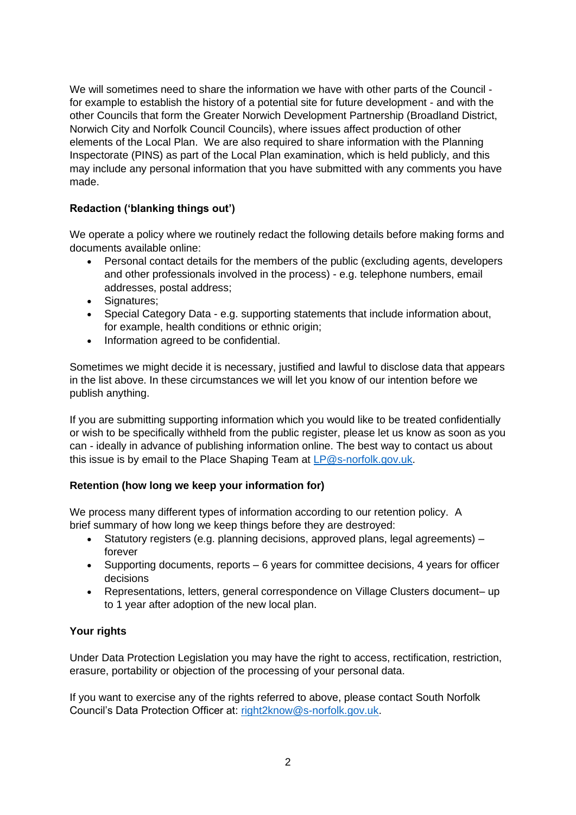We will sometimes need to share the information we have with other parts of the Council for example to establish the history of a potential site for future development - and with the other Councils that form the Greater Norwich Development Partnership (Broadland District, Norwich City and Norfolk Council Councils), where issues affect production of other elements of the Local Plan. We are also required to share information with the Planning Inspectorate (PINS) as part of the Local Plan examination, which is held publicly, and this may include any personal information that you have submitted with any comments you have made.

## **Redaction ('blanking things out')**

We operate a policy where we routinely redact the following details before making forms and documents available online:

- Personal contact details for the members of the public (excluding agents, developers and other professionals involved in the process) - e.g. telephone numbers, email addresses, postal address;
- Signatures;
- Special Category Data e.g. supporting statements that include information about, for example, health conditions or ethnic origin;
- Information agreed to be confidential.

Sometimes we might decide it is necessary, justified and lawful to disclose data that appears in the list above. In these circumstances we will let you know of our intention before we publish anything.

If you are submitting supporting information which you would like to be treated confidentially or wish to be specifically withheld from the public register, please let us know as soon as you can - ideally in advance of publishing information online. The best way to contact us about this issue is by email to the Place Shaping Team at [LP@s-norfolk.gov.uk.](mailto:LP@s-norfolk.gov.uk)

#### **Retention (how long we keep your information for)**

We process many different types of information according to our retention policy. A brief summary of how long we keep things before they are destroyed:

- Statutory registers (e.g. planning decisions, approved plans, legal agreements) forever
- Supporting documents, reports 6 years for committee decisions, 4 years for officer decisions
- Representations, letters, general correspondence on Village Clusters document– up to 1 year after adoption of the new local plan.

#### **Your rights**

Under Data Protection Legislation you may have the right to access, rectification, restriction, erasure, portability or objection of the processing of your personal data.

If you want to exercise any of the rights referred to above, please contact South Norfolk Council's Data Protection Officer at: [right2know@s-norfolk.gov.uk.](mailto:right2know@s-norfolk.gov.uk)